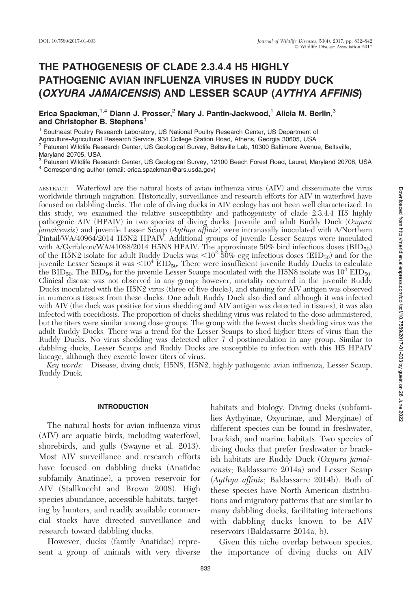# THE PATHOGENESIS OF CLADE 2.3.4.4 H5 HIGHLY PATHOGENIC AVIAN INFLUENZA VIRUSES IN RUDDY DUCK (OXYURA JAMAICENSIS) AND LESSER SCAUP (AYTHYA AFFINIS)

Erica Spackman,<sup>1,4</sup> Diann J. Prosser, <sup>2</sup> Mary J. Pantin-Jackwood,<sup>1</sup> Alicia M. Berlin,<sup>3</sup> and Christopher B. Stephens<sup>1</sup>

<sup>1</sup> Southeast Poultry Research Laboratory, US National Poultry Research Center, US Department of

Agriculture-Agricultural Research Service, 934 College Station Road, Athens, Georgia 30605, USA

<sup>2</sup> Patuxent Wildlife Research Center, US Geological Survey, Beltsville Lab, 10300 Baltimore Avenue, Beltsville, Maryland 20705, USA

<sup>3</sup> Patuxent Wildlife Research Center, US Geological Survey, 12100 Beech Forest Road, Laurel, Maryland 20708, USA

<sup>4</sup> Corresponding author (email: erica.spackman@ars.usda.gov)

ABSTRACT: Waterfowl are the natural hosts of avian influenza virus (AIV) and disseminate the virus worldwide through migration. Historically, surveillance and research efforts for AIV in waterfowl have focused on dabbling ducks. The role of diving ducks in AIV ecology has not been well characterized. In this study, we examined the relative susceptibility and pathogenicity of clade 2.3.4.4 H5 highly pathogenic AIV (HPAIV) in two species of diving ducks. Juvenile and adult Ruddy Duck (Oxyura jamaicensis) and juvenile Lesser Scaup (Aythya affinis) were intranasally inoculated with A/Northern Pintail/WA/40964/2014 H5N2 HPAIV. Additional groups of juvenile Lesser Scaups were inoculated with A/Gyrfalcon/WA/41088/2014 H5N8 HPAIV. The approximate 50% bird infectious doses (BID<sub>50</sub>) when the H5N2 isolate for adult Ruddy Ducks was  $\rm {\leq}10^2$  50% egg infectious doses (EID<sub>50</sub>) and for the juvenile Lesser Scaups it was  $<$  10<sup>4</sup> EID<sub>50</sub>. There were insufficient juvenile Ruddy Ducks to calculate the BID<sub>50</sub>. The BID<sub>50</sub> for the juvenile Lesser Scaups inoculated with the H5N8 isolate was  $10^3$  EID<sub>50</sub>. Clinical disease was not observed in any group; however, mortality occurred in the juvenile Ruddy Ducks inoculated with the H5N2 virus (three of five ducks), and staining for AIV antigen was observed in numerous tissues from these ducks. One adult Ruddy Duck also died and although it was infected with AIV (the duck was positive for virus shedding and AIV antigen was detected in tissues), it was also infected with coccidiosis. The proportion of ducks shedding virus was related to the dose administered, but the titers were similar among dose groups. The group with the fewest ducks shedding virus was the adult Ruddy Ducks. There was a trend for the Lesser Scaups to shed higher titers of virus than the Ruddy Ducks. No virus shedding was detected after 7 d postinoculation in any group. Similar to dabbling ducks, Lesser Scaups and Ruddy Ducks are susceptible to infection with this H5 HPAIV lineage, although they excrete lower titers of virus.

Key words: Disease, diving duck, H5N8, H5N2, highly pathogenic avian influenza, Lesser Scaup, Ruddy Duck.

### INTRODUCTION

The natural hosts for avian influenza virus (AIV) are aquatic birds, including waterfowl, shorebirds, and gulls (Swayne et al. 2013). Most AIV surveillance and research efforts have focused on dabbling ducks (Anatidae subfamily Anatinae), a proven reservoir for AIV (Stallknecht and Brown 2008). High species abundance, accessible habitats, targeting by hunters, and readily available commercial stocks have directed surveillance and research toward dabbling ducks.

However, ducks (family Anatidae) represent a group of animals with very diverse

habitats and biology. Diving ducks (subfamilies Aythyinae, Oxyurinae, and Merginae) of different species can be found in freshwater, brackish, and marine habitats. Two species of diving ducks that prefer freshwater or brackish habitats are Ruddy Duck (Oxyura jamaicensis; Baldassarre 2014a) and Lesser Scaup (Aythya affinis; Baldassarre 2014b). Both of these species have North American distributions and migratory patterns that are similar to many dabbling ducks, facilitating interactions with dabbling ducks known to be AIV reservoirs (Baldassarre 2014a, b).

Given this niche overlap between species, the importance of diving ducks on AIV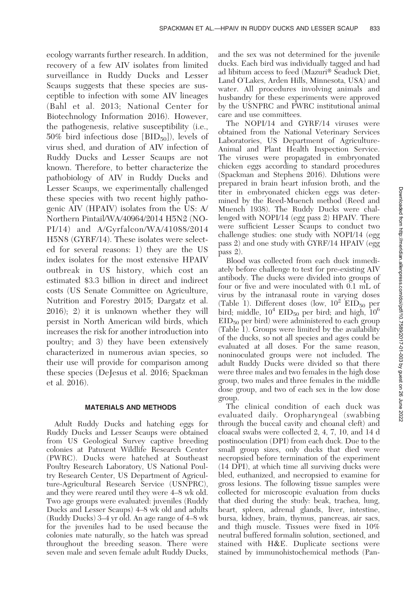ecology warrants further research. In addition, recovery of a few AIV isolates from limited surveillance in Ruddy Ducks and Lesser Scaups suggests that these species are susceptible to infection with some AIV lineages (Bahl et al. 2013; National Center for Biotechnology Information 2016). However, the pathogenesis, relative susceptibility (i.e., 50% bird infectious dose  $[BID_{50}]$ , levels of virus shed, and duration of AIV infection of Ruddy Ducks and Lesser Scaups are not known. Therefore, to better characterize the pathobiology of AIV in Ruddy Ducks and Lesser Scaups, we experimentally challenged these species with two recent highly pathogenic AIV (HPAIV) isolates from the US: A/ Northern Pintail/WA/40964/2014 H5N2 (NO-PI/14) and A/Gyrfalcon/WA/41088/2014 H5N8 (GYRF/14). These isolates were selected for several reasons: 1) they are the US index isolates for the most extensive HPAIV outbreak in US history, which cost an estimated \$3.3 billion in direct and indirect costs (US Senate Committee on Agriculture, Nutrition and Forestry 2015; Dargatz et al. 2016); 2) it is unknown whether they will persist in North American wild birds, which increases the risk for another introduction into poultry; and 3) they have been extensively characterized in numerous avian species, so their use will provide for comparison among these species (DeJesus et al. 2016; Spackman et al. 2016).

### MATERIALS AND METHODS

Adult Ruddy Ducks and hatching eggs for Ruddy Ducks and Lesser Scaups were obtained from US Geological Survey captive breeding colonies at Patuxent Wildlife Research Center (PWRC). Ducks were hatched at Southeast Poultry Research Laboratory, US National Poultry Research Center, US Department of Agriculture-Agricultural Research Service (USNPRC), and they were reared until they were 4–8 wk old. Two age groups were evaluated: juveniles (Ruddy Ducks and Lesser Scaups) 4–8 wk old and adults (Ruddy Ducks) 3–4 yr old. An age range of 4–8 wk for the juveniles had to be used because the colonies mate naturally, so the hatch was spread throughout the breeding season. There were seven male and seven female adult Ruddy Ducks,

and the sex was not determined for the juvenile ducks. Each bird was individually tagged and had ad libitum access to feed (Mazuri® Seaduck Diet, Land O'Lakes, Arden Hills, Minnesota, USA) and water. All procedures involving animals and husbandry for these experiments were approved by the USNPRC and PWRC institutional animal care and use committees.

The NOPI/14 and GYRF/14 viruses were obtained from the National Veterinary Services Laboratories, US Department of Agriculture-Animal and Plant Health Inspection Service. The viruses were propagated in embryonated chicken eggs according to standard procedures (Spackman and Stephens 2016). Dilutions were prepared in brain heart infusion broth, and the titer in embryonated chicken eggs was determined by the Reed-Muench method (Reed and Muench 1938). The Ruddy Ducks were challenged with NOPI/14 (egg pass 2) HPAIV. There were sufficient Lesser Scaups to conduct two challenge studies: one study with NOPI/14 (egg pass 2) and one study with GYRF/14 HPAIV (egg pass 2).

Blood was collected from each duck immediately before challenge to test for pre-existing AIV antibody. The ducks were divided into groups of four or five and were inoculated with 0.1 mL of virus by the intranasal route in varying doses (Table 1). Different doses (low,  $10^2$  EID<sub>50</sub> per bird; middle,  $10^4$  EID<sub>50</sub> per bird; and high,  $10^6$ EID50 per bird) were administered to each group (Table 1). Groups were limited by the availability of the ducks, so not all species and ages could be evaluated at all doses. For the same reason, noninoculated groups were not included. The adult Ruddy Ducks were divided so that there were three males and two females in the high dose group, two males and three females in the middle dose group, and two of each sex in the low dose group.

The clinical condition of each duck was evaluated daily. Oropharyngeal (swabbing through the buccal cavity and choanal cleft) and cloacal swabs were collected 2, 4, 7, 10, and 14 d postinoculation (DPI) from each duck. Due to the small group sizes, only ducks that died were necropsied before termination of the experiment (14 DPI), at which time all surviving ducks were bled, euthanized, and necropsied to examine for gross lesions. The following tissue samples were collected for microscopic evaluation from ducks that died during the study: beak, trachea, lung, heart, spleen, adrenal glands, liver, intestine, bursa, kidney, brain, thymus, pancreas, air sacs, and thigh muscle. Tissues were fixed in 10% neutral buffered formalin solution, sectioned, and stained with H&E. Duplicate sections were stained by immunohistochemical methods (Pan-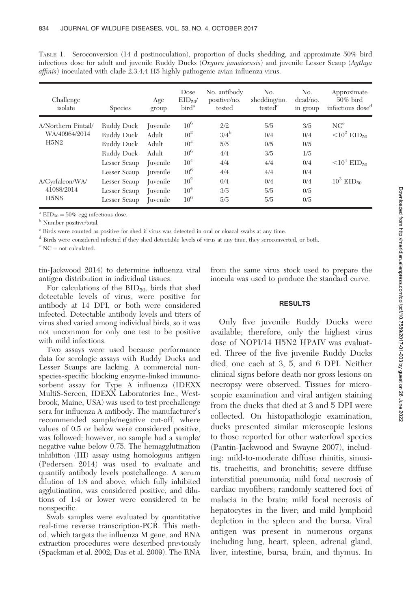| Challenge<br>isolate                         | <b>Species</b>                                                                       | Age<br>group                                | Dose<br>$EID_{50}$<br>bird <sup>a</sup>                                                   | No. antibody<br>positive/no.<br>tested           | No.<br>shedding/no.<br>tested <sup>c</sup> | No.<br>dead/no.<br>in group            | Approximate<br>$50\%$ bird<br>infectious dose <sup>d</sup>                           |
|----------------------------------------------|--------------------------------------------------------------------------------------|---------------------------------------------|-------------------------------------------------------------------------------------------|--------------------------------------------------|--------------------------------------------|----------------------------------------|--------------------------------------------------------------------------------------|
| A/Northern Pintail/<br>WA/40964/2014<br>H5N2 | Ruddy Duck<br>Ruddy Duck<br>Ruddy Duck<br>Ruddy Duck<br>Lesser Scaup<br>Lesser Scaup | <i>I</i> uvenile<br>Adult<br>Adult<br>Adult | $10^{6}$<br>10 <sup>2</sup><br>10 <sup>4</sup><br>$10^{6}$<br>10 <sup>4</sup><br>$10^{6}$ | 2/2<br>$3/4^{\rm b}$<br>5/5<br>4/4<br>4/4<br>4/4 | 5/5<br>0/4<br>0/5<br>3/5<br>4/4<br>4/4     | 3/5<br>0/4<br>0/5<br>1/5<br>0/4<br>0/4 | NC <sup>e</sup><br>$<$ 10 <sup>2</sup> EID <sub>50</sub><br>$10^4$ EID <sub>50</sub> |
| A/Gyrfalcon/WA/<br>41088/2014<br>H5N8        | Lesser Scaup<br>Lesser Scaup<br>Lesser Scaup                                         | <i>I</i> uvenile<br><i>I</i> uvenile        | $10^{2}$<br>10 <sup>4</sup><br>$10^{6}$                                                   | 0/4<br>3/5<br>5/5                                | 0/4<br>5/5<br>5/5                          | 0/4<br>0/5<br>0/5                      | $10^3$ EID <sub>50</sub>                                                             |

TABLE 1. Seroconversion (14 d postinoculation), proportion of ducks shedding, and approximate 50% bird infectious dose for adult and juvenile Ruddy Ducks (Oxyura jamaicensis) and juvenile Lesser Scaup (Aythya affinis) inoculated with clade 2.3.4.4 H5 highly pathogenic avian influenza virus.

 $^{\rm a}$  EID $_{50} = 50\%$  egg infectious dose.

 $^{\rm b}$  Number positive/total.

<sup>c</sup> Birds were counted as positive for shed if virus was detected in oral or cloacal swabs at any time.

<sup>d</sup> Birds were considered infected if they shed detectable levels of virus at any time, they seroconverted, or both.

 $^{\rm e}$  NC  $=$  not calculated.

tin-Jackwood 2014) to determine influenza viral antigen distribution in individual tissues.

For calculations of the  $BID_{50}$ , birds that shed detectable levels of virus, were positive for antibody at 14 DPI, or both were considered infected. Detectable antibody levels and titers of virus shed varied among individual birds, so it was not uncommon for only one test to be positive with mild infections.

Two assays were used because performance data for serologic assays with Ruddy Ducks and Lesser Scaups are lacking. A commercial nonspecies-specific blocking enzyme-linked immunosorbent assay for Type A influenza (IDEXX MultiS-Screen, IDEXX Laboratories Inc., Westbrook, Maine, USA) was used to test prechallenge sera for influenza A antibody. The manufacturer's recommended sample/negative cut-off, where values of 0.5 or below were considered positive, was followed; however, no sample had a sample/ negative value below 0.75. The hemagglutination inhibition (HI) assay using homologous antigen (Pedersen 2014) was used to evaluate and quantify antibody levels postchallenge. A serum dilution of 1:8 and above, which fully inhibited agglutination, was considered positive, and dilutions of 1:4 or lower were considered to be nonspecific.

Swab samples were evaluated by quantitative real-time reverse transcription-PCR. This method, which targets the influenza M gene, and RNA extraction procedures were described previously (Spackman et al. 2002; Das et al. 2009). The RNA from the same virus stock used to prepare the inocula was used to produce the standard curve.

### **RESULTS**

Only five juvenile Ruddy Ducks were available; therefore, only the highest virus dose of NOPI/14 H5N2 HPAIV was evaluated. Three of the five juvenile Ruddy Ducks died, one each at 3, 5, and 6 DPI. Neither clinical signs before death nor gross lesions on necropsy were observed. Tissues for microscopic examination and viral antigen staining from the ducks that died at 3 and 5 DPI were collected. On histopathologic examination, ducks presented similar microscopic lesions to those reported for other waterfowl species (Pantin-Jackwood and Swayne 2007), including: mild-to-moderate diffuse rhinitis, sinusitis, tracheitis, and bronchitis; severe diffuse interstitial pneumonia; mild focal necrosis of cardiac myofibers; randomly scattered foci of malacia in the brain; mild focal necrosis of hepatocytes in the liver; and mild lymphoid depletion in the spleen and the bursa. Viral antigen was present in numerous organs including lung, heart, spleen, adrenal gland, liver, intestine, bursa, brain, and thymus. In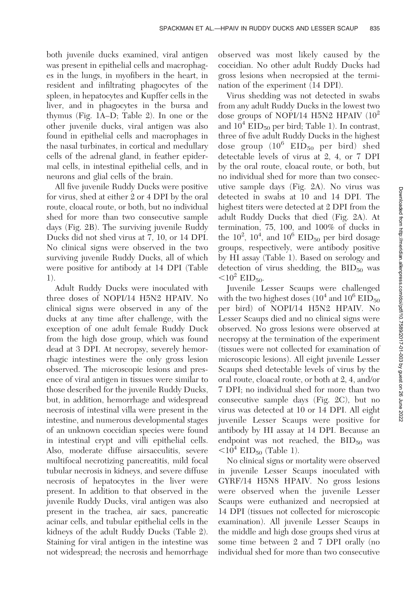both juvenile ducks examined, viral antigen was present in epithelial cells and macrophages in the lungs, in myofibers in the heart, in resident and infiltrating phagocytes of the spleen, in hepatocytes and Kupffer cells in the liver, and in phagocytes in the bursa and thymus (Fig. 1A–D; Table 2). In one or the other juvenile ducks, viral antigen was also found in epithelial cells and macrophages in the nasal turbinates, in cortical and medullary cells of the adrenal gland, in feather epidermal cells, in intestinal epithelial cells, and in neurons and glial cells of the brain.

All five juvenile Ruddy Ducks were positive for virus, shed at either 2 or 4 DPI by the oral route, cloacal route, or both, but no individual shed for more than two consecutive sample days (Fig. 2B). The surviving juvenile Ruddy Ducks did not shed virus at 7, 10, or 14 DPI. No clinical signs were observed in the two surviving juvenile Ruddy Ducks, all of which were positive for antibody at 14 DPI (Table 1).

Adult Ruddy Ducks were inoculated with three doses of NOPI/14 H5N2 HPAIV. No clinical signs were observed in any of the ducks at any time after challenge, with the exception of one adult female Ruddy Duck from the high dose group, which was found dead at 3 DPI. At necropsy, severely hemorrhagic intestines were the only gross lesion observed. The microscopic lesions and presence of viral antigen in tissues were similar to those described for the juvenile Ruddy Ducks, but, in addition, hemorrhage and widespread necrosis of intestinal villa were present in the intestine, and numerous developmental stages of an unknown coccidian species were found in intestinal crypt and villi epithelial cells. Also, moderate diffuse airsacculitis, severe multifocal necrotizing pancreatitis, mild focal tubular necrosis in kidneys, and severe diffuse necrosis of hepatocytes in the liver were present. In addition to that observed in the juvenile Ruddy Ducks, viral antigen was also present in the trachea, air sacs, pancreatic acinar cells, and tubular epithelial cells in the kidneys of the adult Ruddy Ducks (Table 2). Staining for viral antigen in the intestine was not widespread; the necrosis and hemorrhage

observed was most likely caused by the coccidian. No other adult Ruddy Ducks had gross lesions when necropsied at the termination of the experiment (14 DPI).

Virus shedding was not detected in swabs from any adult Ruddy Ducks in the lowest two dose groups of NOPI/14 H5N2 HPAIV  $(10^2$ and  $10^4$  EID<sub>50</sub> per bird; Table 1). In contrast, three of five adult Ruddy Ducks in the highest dose group  $(10^6$  EID<sub>50</sub> per bird) shed detectable levels of virus at 2, 4, or 7 DPI by the oral route, cloacal route, or both, but no individual shed for more than two consecutive sample days (Fig. 2A). No virus was detected in swabs at 10 and 14 DPI. The highest titers were detected at 2 DPI from the adult Ruddy Ducks that died (Fig. 2A). At termination, 75, 100, and 100% of ducks in the  $10^2$ ,  $10^4$ , and  $10^6$  EID<sub>50</sub> per bird dosage groups, respectively, were antibody positive by HI assay (Table 1). Based on serology and detection of virus shedding, the  $BID_{50}$  was  $<$ 10<sup>2</sup> EID<sub>50</sub>.

Juvenile Lesser Scaups were challenged with the two highest doses  $(10^4 \text{ and } 10^6 \text{ EID}_{50})$ per bird) of NOPI/14 H5N2 HPAIV. No Lesser Scaups died and no clinical signs were observed. No gross lesions were observed at necropsy at the termination of the experiment (tissues were not collected for examination of microscopic lesions). All eight juvenile Lesser Scaups shed detectable levels of virus by the oral route, cloacal route, or both at 2, 4, and/or 7 DPI; no individual shed for more than two consecutive sample days (Fig. 2C), but no virus was detected at 10 or 14 DPI. All eight juvenile Lesser Scaups were positive for antibody by HI assay at 14 DPI. Because an endpoint was not reached, the  $BID_{50}$  was  $\langle 10^4 \text{ EID}_{50} \text{ (Table 1)}.$ 

No clinical signs or mortality were observed in juvenile Lesser Scaups inoculated with GYRF/14 H5N8 HPAIV. No gross lesions were observed when the juvenile Lesser Scaups were euthanized and necropsied at 14 DPI (tissues not collected for microscopic examination). All juvenile Lesser Scaups in the middle and high dose groups shed virus at some time between 2 and 7 DPI orally (no individual shed for more than two consecutive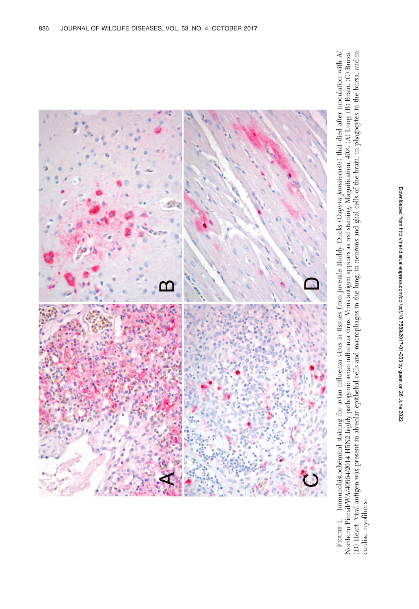

FIGURE 1. Immunohistochemical staining for avian influenza virus in tissues from juvenile Ruddy Ducks (Oxyura jamatcensis) that died after inoculation with  $\Lambda'$ <br>Northern Pintail/WA/40964/2014 H5N2 highly pathogenic avian FIGURE 1. Immunohistochemical staining for avian influenza virus in tissues from juvenile Ruddy Ducks (Oxyura jamaicensis) that died after inoculation with A/ Northern Pintail/WA/40964/2014 H5N2 highly pathogenic avian influenza virus. Virus antigen appears as red staining. Magnification, 403. (A) Lung. (B) Brain. (C) Bursa. (D) Heart. Viral antigen was present in alveolar epithelial cells and macrophages in the lung, in neurons and glial cells of the brain, in phagocytes in the bursa, and in cardiac myofibers. cardiac myofibers.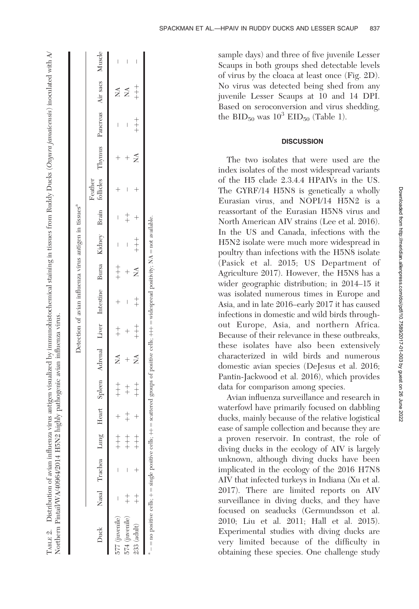|                                                                                                                                                     |                    |       |       |   |     | Detection of avian influenza virus antigen in tissues <sup>a</sup>                                |                   |       |   |         |   |     |            |   |
|-----------------------------------------------------------------------------------------------------------------------------------------------------|--------------------|-------|-------|---|-----|---------------------------------------------------------------------------------------------------|-------------------|-------|---|---------|---|-----|------------|---|
| Duck                                                                                                                                                | Nasal Trachea Lung |       |       |   |     | Heart Spleen Adrenal Liver Intestine Bursa Kidney Brain follicles Thymus Pancreas Air-sacs Muscle |                   |       |   | Feather |   |     |            |   |
| $577$ (juvenile)                                                                                                                                    |                    | $+ +$ | $+ +$ | Ź | $+$ |                                                                                                   | $+$<br>$+$<br>$+$ | I     | I |         |   | I   | Ź          | I |
| 574 (juvenile)                                                                                                                                      |                    | $+$   | $+$   |   |     | I                                                                                                 |                   |       |   | I       |   |     | 3<br>Z     |   |
| 233 (adult)                                                                                                                                         |                    | $+$   | $+$   | ź | $+$ | $+$                                                                                               | Ź                 | $+ +$ |   |         | Ź | $+$ | $+$<br>$+$ |   |
| $-$ = no positive cells; $+$ = single positive cells; $++$ = scattered groups of positive cells; $+++$ = widespread positivity; NA = not available. |                    |       |       |   |     |                                                                                                   |                   |       |   |         |   |     |            |   |

Гляг. 2. Distribution of avian influenza virus antigen visualized by immunohistochemical staining in tissues from Ruddy Ducks (*Охуига jamaicensis*) inoculated with A/<br>Northern Pintail/WA/40964/2014 H5N2 highly pathogenic

Northern Pintail/WA/40964/2014 H5N2 highly pathogenic avian influenza virus.

ABLE 2. Distribution of avian influenza virus antigen visualized by immunohistochemical staining in tissues from Ruddy Ducks (Oxyura jamaicensis) inoculated with A/

The two isolates that were used are the index isolates of the most widespread variants of the H5 clade 2.3.4.4 HPAIVs in the US. The GYRF/14 H5N8 is genetically a wholly Eurasian virus, and NOPI/14 H5N2 is a reassortant of the Eurasian H5N8 virus and North American AIV strains (Lee et al. 2016). In the US and Canada, infections with the H5N2 isolate were much more widespread in poultry than infections with the H5N8 isolate (Pasick et al. 2015; US Department of Agriculture 2017). However, the H5N8 has a wider geographic distribution; in 2014–15 it was isolated numerous times in Europe and Asia, and in late 2016–early 2017 it has caused infections in domestic and wild birds throughout Europe, Asia, and northern Africa. Because of their relevance in these outbreaks, these isolates have also been extensively characterized in wild birds and numerous domestic avian species (DeJesus et al. 2016; Pantin-Jackwood et al. 2016), which provides data for comparison among species. Avian influenza surveillance and research in

waterfowl have primarily focused on dabbling ducks, mainly because of the relative logistical ease of sample collection and because they are a proven reservoir. In contrast, the role of diving ducks in the ecology of AIV is largely unknown, although diving ducks have been implicated in the ecology of the 2016 H7N8 AIV that infected turkeys in Indiana (Xu et al. 2017). There are limited reports on AIV surveillance in diving ducks, and they have focused on seaducks (Germundsson et al. 2010; Liu et al. 2011; Hall et al. 2015). Experimental studies with diving ducks are very limited because of the difficulty in obtaining these species. One challenge study

SPACKMAN ET AL.—HPAIV IN RUDDY DUCKS AND LESSER SCAUP 837

## **DISCUSSION**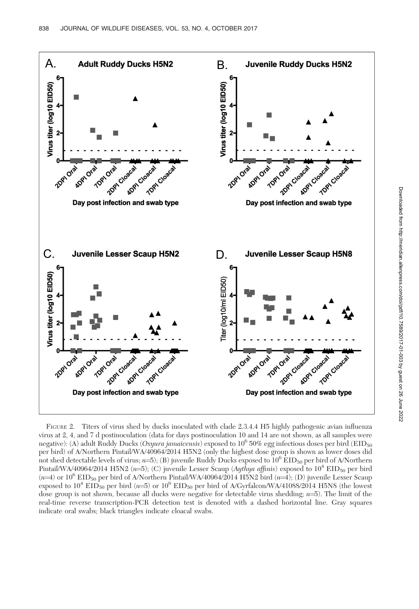

FIGURE 2. Titers of virus shed by ducks inoculated with clade 2.3.4.4 H5 highly pathogenic avian influenza virus at 2, 4, and 7 d postinoculation (data for days postinoculation 10 and 14 are not shown, as all samples were negative): (A) adult Ruddy Ducks (Oxyura jamaicensis) exposed to  $10^6$  50% egg infectious doses per bird (EID<sub>50</sub>) per bird) of A/Northern Pintail/WA/40964/2014 H5N2 (only the highest dose group is shown as lower doses did not shed detectable levels of virus;  $n=5$ ); (B) juvenile Ruddy Ducks exposed to  $10^6$  EID<sub>50</sub> per bird of A/Northern Pintail/WA/40964/2014 H5N2 (n=5); (C) juvenile Lesser Scaup (Aythya affinis) exposed to  $10^4$  EID<sub>50</sub> per bird  $(n=4)$  or 10<sup>6</sup> EID<sub>50</sub> per bird of A/Northern Pintail/WA/40964/2014 H5N2 bird  $(n=4)$ ; (D) juvenile Lesser Scaup exposed to  $10^4$  EID<sub>50</sub> per bird (n=5) or  $10^6$  EID<sub>50</sub> per bird of A/Gyrfalcon/WA/41088/2014 H5N8 (the lowest dose group is not shown, because all ducks were negative for detectable virus shedding;  $n=5$ ). The limit of the real-time reverse transcription-PCR detection test is denoted with a dashed horizontal line. Gray squares indicate oral swabs; black triangles indicate cloacal swabs.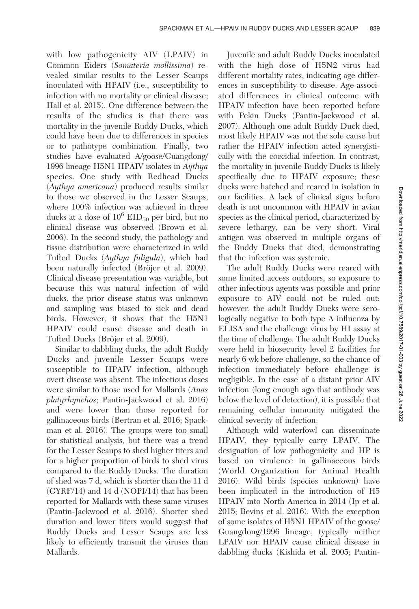with low pathogenicity AIV (LPAIV) in Common Eiders (Somateria mollissima) revealed similar results to the Lesser Scaups inoculated with HPAIV (i.e., susceptibility to infection with no mortality or clinical disease; Hall et al. 2015). One difference between the results of the studies is that there was mortality in the juvenile Ruddy Ducks, which could have been due to differences in species or to pathotype combination. Finally, two studies have evaluated A/goose/Guangdong/ 1996 lineage H5N1 HPAIV isolates in Aythya species. One study with Redhead Ducks (Aythya americana) produced results similar to those we observed in the Lesser Scaups, where 100% infection was achieved in three ducks at a dose of  $10^6$  EID<sub>50</sub> per bird, but no clinical disease was observed (Brown et al. 2006). In the second study, the pathology and tissue distribution were characterized in wild Tufted Ducks (Aythya fuligula), which had been naturally infected (Bröjer et al. 2009). Clinical disease presentation was variable, but because this was natural infection of wild ducks, the prior disease status was unknown and sampling was biased to sick and dead birds. However, it shows that the H5N1 HPAIV could cause disease and death in Tufted Ducks (Bröjer et al. 2009).

Similar to dabbling ducks, the adult Ruddy Ducks and juvenile Lesser Scaups were susceptible to HPAIV infection, although overt disease was absent. The infectious doses were similar to those used for Mallards (Anas platyrhynchos; Pantin-Jackwood et al. 2016) and were lower than those reported for gallinaceous birds (Bertran et al. 2016; Spackman et al. 2016). The groups were too small for statistical analysis, but there was a trend for the Lesser Scaups to shed higher titers and for a higher proportion of birds to shed virus compared to the Ruddy Ducks. The duration of shed was 7 d, which is shorter than the 11 d (GYRF/14) and 14 d (NOPI/14) that has been reported for Mallards with these same viruses (Pantin-Jackwood et al. 2016). Shorter shed duration and lower titers would suggest that Ruddy Ducks and Lesser Scaups are less likely to efficiently transmit the viruses than Mallards.

Juvenile and adult Ruddy Ducks inoculated with the high dose of H5N2 virus had different mortality rates, indicating age differences in susceptibility to disease. Age-associated differences in clinical outcome with HPAIV infection have been reported before with Pekin Ducks (Pantin-Jackwood et al. 2007). Although one adult Ruddy Duck died, most likely HPAIV was not the sole cause but rather the HPAIV infection acted synergistically with the coccidial infection. In contrast, the mortality in juvenile Ruddy Ducks is likely specifically due to HPAIV exposure; these ducks were hatched and reared in isolation in our facilities. A lack of clinical signs before death is not uncommon with HPAIV in avian species as the clinical period, characterized by severe lethargy, can be very short. Viral antigen was observed in multiple organs of the Ruddy Ducks that died, demonstrating that the infection was systemic.

The adult Ruddy Ducks were reared with some limited access outdoors, so exposure to other infectious agents was possible and prior exposure to AIV could not be ruled out; however, the adult Ruddy Ducks were serologically negative to both type A influenza by ELISA and the challenge virus by HI assay at the time of challenge. The adult Ruddy Ducks were held in biosecurity level 2 facilities for nearly 6 wk before challenge, so the chance of infection immediately before challenge is negligible. In the case of a distant prior AIV infection (long enough ago that antibody was below the level of detection), it is possible that remaining cellular immunity mitigated the clinical severity of infection.

Although wild waterfowl can disseminate HPAIV, they typically carry LPAIV. The designation of low pathogenicity and HP is based on virulence in gallinaceous birds (World Organization for Animal Health 2016). Wild birds (species unknown) have been implicated in the introduction of H5 HPAIV into North America in 2014 (Ip et al. 2015; Bevins et al. 2016). With the exception of some isolates of H5N1 HPAIV of the goose/ Guangdong/1996 lineage, typically neither LPAIV nor HPAIV cause clinical disease in dabbling ducks (Kishida et al. 2005; Pantin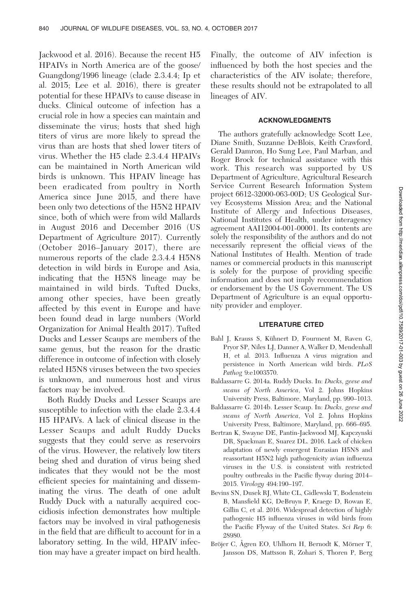Jackwood et al. 2016). Because the recent H5 HPAIVs in North America are of the goose/ Guangdong/1996 lineage (clade 2.3.4.4; Ip et al. 2015; Lee et al. 2016), there is greater potential for these HPAIVs to cause disease in ducks. Clinical outcome of infection has a crucial role in how a species can maintain and disseminate the virus; hosts that shed high titers of virus are more likely to spread the virus than are hosts that shed lower titers of virus. Whether the H5 clade 2.3.4.4 HPAIVs can be maintained in North American wild birds is unknown. This HPAIV lineage has been eradicated from poultry in North America since June 2015, and there have been only two detections of the H5N2 HPAIV since, both of which were from wild Mallards in August 2016 and December 2016 (US Department of Agriculture 2017). Currently (October 2016–January 2017), there are numerous reports of the clade 2.3.4.4 H5N8 detection in wild birds in Europe and Asia, indicating that the H5N8 lineage may be maintained in wild birds. Tufted Ducks, among other species, have been greatly affected by this event in Europe and have been found dead in large numbers (World Organization for Animal Health 2017). Tufted Ducks and Lesser Scaups are members of the same genus, but the reason for the drastic difference in outcome of infection with closely related H5N8 viruses between the two species is unknown, and numerous host and virus factors may be involved.

Both Ruddy Ducks and Lesser Scaups are susceptible to infection with the clade 2.3.4.4 H5 HPAIVs. A lack of clinical disease in the Lesser Scaups and adult Ruddy Ducks suggests that they could serve as reservoirs of the virus. However, the relatively low titers being shed and duration of virus being shed indicates that they would not be the most efficient species for maintaining and disseminating the virus. The death of one adult Ruddy Duck with a naturally acquired coccidiosis infection demonstrates how multiple factors may be involved in viral pathogenesis in the field that are difficult to account for in a laboratory setting. In the wild, HPAIV infection may have a greater impact on bird health. Finally, the outcome of AIV infection is influenced by both the host species and the characteristics of the AIV isolate; therefore, these results should not be extrapolated to all lineages of AIV.

#### ACKNOWLEDGMENTS

The authors gratefully acknowledge Scott Lee, Diane Smith, Suzanne DeBlois, Keith Crawford, Gerald Damron, Ho Sung Lee, Paul Marban, and Roger Brock for technical assistance with this work. This research was supported by US Department of Agriculture, Agricultural Research Service Current Research Information System project 6612-32000-063-00D; US Geological Survey Ecosystems Mission Area; and the National Institute of Allergy and Infectious Diseases, National Institutes of Health, under interagency agreement AAI12004-001-00001. Its contents are solely the responsibility of the authors and do not necessarily represent the official views of the National Institutes of Health. Mention of trade names or commercial products in this manuscript is solely for the purpose of providing specific information and does not imply recommendation or endorsement by the US Government. The US Department of Agriculture is an equal opportunity provider and employer.

#### LITERATURE CITED

- Bahl J, Krauss S, Kühnert D, Fourment M, Raven G, Pryor SP, Niles LJ, Danner A, Walker D, Mendenhall H, et al. 2013. Influenza A virus migration and persistence in North American wild birds. PLoS Pathog 9:e1003570.
- Baldassarre G. 2014a. Ruddy Ducks. In: Ducks, geese and swans of North America, Vol 2. Johns Hopkins University Press, Baltimore, Maryland, pp. 990–1013.
- Baldassarre G. 2014b. Lesser Scaup. In: Ducks, geese and swans of North America, Vol 2. Johns Hopkins University Press, Baltimore, Maryland, pp. 666–695.
- Bertran K, Swayne DE, Pantin-Jackwood MJ, Kapczynski DR, Spackman E, Suarez DL. 2016. Lack of chicken adaptation of newly emergent Eurasian H5N8 and reassortant H5N2 high pathogenicity avian influenza viruses in the U.S. is consistent with restricted poultry outbreaks in the Pacific flyway during 2014– 2015. Virology 494:190–197.
- Bevins SN, Dusek RJ, White CL, Gidlewski T, Bodenstein B, Mansfield KG, DeBruyn P, Kraege D, Rowan E, Gillin C, et al. 2016. Widespread detection of highly pathogenic H5 influenza viruses in wild birds from the Pacific Flyway of the United States. Sci Rep 6: 28980.
- Bröjer C, Ågren EO, Uhlhorn H, Bernodt K, Mörner T, Jansson DS, Mattsson R, Zohari S, Thoren P, Berg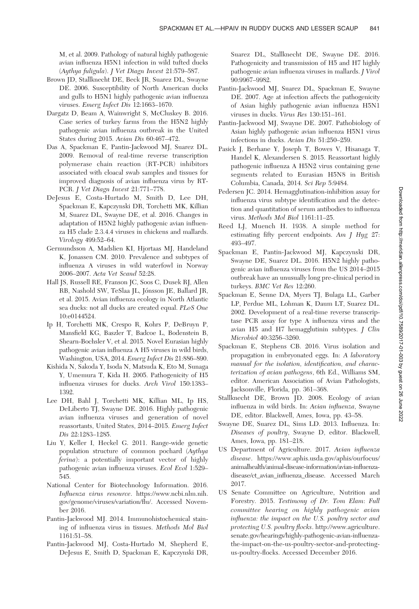M, et al. 2009. Pathology of natural highly pathogenic avian influenza H5N1 infection in wild tufted ducks (Aythya fuligula). J Vet Diagn Invest 21:579–587.

- Brown JD, Stallknecht DE, Beck JR, Suarez DL, Swayne DE. 2006. Susceptibility of North American ducks and gulls to H5N1 highly pathogenic avian influenza viruses. Emerg Infect Dis 12:1663–1670.
- Dargatz D, Beam A, Wainwright S, McCluskey B. 2016. Case series of turkey farms from the H5N2 highly pathogenic avian influenza outbreak in the United States during 2015. Avian Dis 60:467–472.
- Das A, Spackman E, Pantin-Jackwood MJ, Suarez DL. 2009. Removal of real-time reverse transcription polymerase chain reaction (RT-PCR) inhibitors associated with cloacal swab samples and tissues for improved diagnosis of avian influenza virus by RT-PCR. J Vet Diagn Invest 21:771–778.
- DeJesus E, Costa-Hurtado M, Smith D, Lee DH, Spackman E, Kapczynski DR, Torchetti MK, Killian M, Suarez DL, Swayne DE, et al. 2016. Changes in adaptation of H5N2 highly pathogenic avian influenza H5 clade 2.3.4.4 viruses in chickens and mallards. Virology 499:52–64.
- Germundsson A, Madslien KI, Hjortaas MJ, Handeland K, Jonassen CM. 2010. Prevalence and subtypes of influenza A viruses in wild waterfowl in Norway 2006–2007. Acta Vet Scand 52:28.
- Hall JS, Russell RE, Franson JC, Soos C, Dusek RJ, Allen RB, Nashold SW, TeSlaa JL, Jonsson JE, Ballard JR, ´ et al. 2015. Avian influenza ecology in North Atlantic sea ducks: not all ducks are created equal. PLoS One 10:e0144524.
- Ip H, Torchetti MK, Crespo R, Kohrs P, DeBruyn P, Mansfield KG, Baszler T, Badcoe L, Bodenstein B, Shearn-Bochsler V, et al. 2015. Novel Eurasian highly pathogenic avian influenza A H5 viruses in wild birds, Washington, USA, 2014. Emerg Infect Dis 21:886–890.
- Kishida N, Sakoda Y, Isoda N, Matsuda K, Eto M, Sunaga Y, Umemura T, Kida H. 2005. Pathogenicity of H5 influenza viruses for ducks. Arch Virol 150:1383– 1392.
- Lee DH, Bahl J, Torchetti MK, Killian ML, Ip HS, DeLiberto TJ, Swayne DE. 2016. Highly pathogenic avian influenza viruses and generation of novel reassortants, United States, 2014–2015. Emerg Infect Dis 22:1283–1285.
- Liu Y, Keller I, Heckel G. 2011. Range-wide genetic population structure of common pochard (Aythya ferina): a potentially important vector of highly pathogenic avian influenza viruses. Ecol Evol 1:529– 545.
- National Center for Biotechnology Information. 2016. Influenza virus resource. https://www.ncbi.nlm.nih. gov/genome/viruses/variation/flu/. Accessed November 2016.
- Pantin-Jackwood MJ. 2014. Immunohistochemical staining of influenza virus in tissues. Methods Mol Biol 1161:51–58.
- Pantin-Jackwood MJ, Costa-Hurtado M, Shepherd E, DeJesus E, Smith D, Spackman E, Kapczynski DR,

Suarez DL, Stallknecht DE, Swayne DE. 2016. Pathogenicity and transmission of H5 and H7 highly pathogenic avian influenza viruses in mallards. J Virol 90:9967–9982.

- Pantin-Jackwood MJ, Suarez DL, Spackman E, Swayne DE. 2007. Age at infection affects the pathogenicity of Asian highly pathogenic avian influenza H5N1 viruses in ducks. Virus Res 130:151–161.
- Pantin-Jackwood MJ, Swayne DE. 2007. Pathobiology of Asian highly pathogenic avian influenza H5N1 virus infections in ducks. Avian Dis 51:250–259.
- Pasick J, Berhane Y, Joseph T, Bowes V, Hisanaga T, Handel K, Alexandersen S. 2015. Reassortant highly pathogenic influenza A H5N2 virus containing gene segments related to Eurasian H5N8 in British Columbia, Canada, 2014. Sci Rep 5:9484.
- Pedersen JC. 2014. Hemagglutination-inhibition assay for influenza virus subtype identification and the detection and quantitation of serum antibodies to influenza virus. Methods Mol Biol 1161:11–25.
- Reed LJ, Muench H. 1938. A simple method for estimating fifty percent endpoints. Am J Hyg 27: 493–497.
- Spackman E, Pantin-Jackwood MJ, Kapczynski DR, Swayne DE, Suarez DL. 2016. H5N2 highly pathogenic avian influenza viruses from the US 2014–2015 outbreak have an unusually long pre-clinical period in turkeys. BMC Vet Res 12:260.
- Spackman E, Senne DA, Myers TJ, Bulaga LL, Garber LP, Perdue ML, Lohman K, Daum LT, Suarez DL. 2002. Development of a real-time reverse transcriptase PCR assay for type A influenza virus and the avian H5 and H7 hemagglutinin subtypes. J Clin Microbiol 40:3256–3260.
- Spackman E, Stephens CB. 2016. Virus isolation and propagation in embryonated eggs. In: A laboratory manual for the isolation, identification, and characterization of avian pathogens, 6th Ed., Williams SM, editor. American Association of Avian Pathologists, Jacksonville, Florida, pp. 361–368.
- Stallknecht DE, Brown JD. 2008. Ecology of avian influenza in wild birds. In: Avian influenza, Swayne DE, editor. Blackwell, Ames, Iowa, pp. 43–58.
- Swayne DE, Suarez DL, Sims LD. 2013. Influenza. In: Diseases of poultry, Swayne D, editor. Blackwell, Ames, Iowa, pp. 181–218.
- US Department of Agriculture. 2017. Avian influenza disease. https://www.aphis.usda.gov/aphis/ourfocus/ animalhealth/animal-disease-information/avian-influenzadisease/ct\_avian\_influenza\_disease. Accessed March 2017.
- US Senate Committee on Agriculture, Nutrition and Forestry. 2015. Testimony of Dr. Tom Elam: Full committee hearing on highly pathogenic avian influenza: the impact on the U.S. poultry sector and protecting U.S. poultry flocks. http://www.agriculture. senate.gov/hearings/highly-pathogenic-avian-influenzathe-impact-on-the-us-poultry-sector-and-protectingus-poultry-flocks. Accessed December 2016.